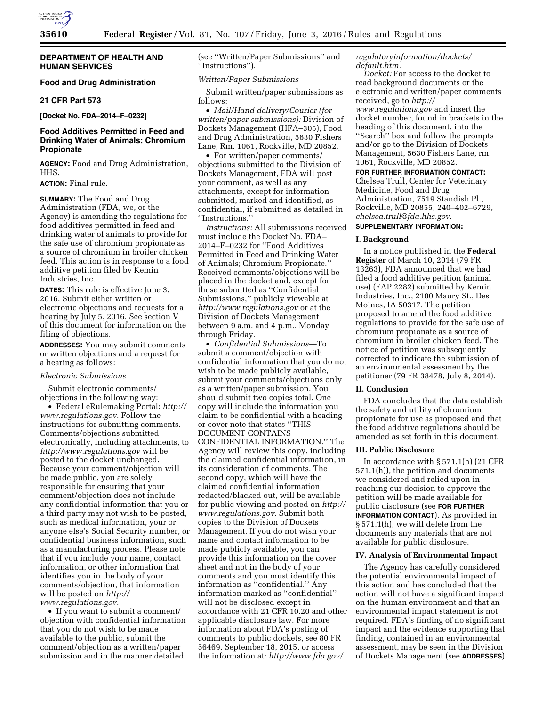

## **DEPARTMENT OF HEALTH AND HUMAN SERVICES**

## **Food and Drug Administration**

#### **21 CFR Part 573**

**[Docket No. FDA–2014–F–0232]** 

# **Food Additives Permitted in Feed and Drinking Water of Animals; Chromium Propionate**

**AGENCY:** Food and Drug Administration, HHS.

## **ACTION:** Final rule.

**SUMMARY:** The Food and Drug Administration (FDA, we, or the Agency) is amending the regulations for food additives permitted in feed and drinking water of animals to provide for the safe use of chromium propionate as a source of chromium in broiler chicken feed. This action is in response to a food additive petition filed by Kemin Industries, Inc.

**DATES:** This rule is effective June 3, 2016. Submit either written or electronic objections and requests for a hearing by July 5, 2016. See section V of this document for information on the filing of objections.

**ADDRESSES:** You may submit comments or written objections and a request for a hearing as follows:

# *Electronic Submissions*

Submit electronic comments/ objections in the following way:

• Federal eRulemaking Portal: *[http://](http://www.regulations.gov) [www.regulations.gov.](http://www.regulations.gov)* Follow the instructions for submitting comments. Comments/objections submitted electronically, including attachments, to *<http://www.regulations.gov>* will be posted to the docket unchanged. Because your comment/objection will be made public, you are solely responsible for ensuring that your comment/objection does not include any confidential information that you or a third party may not wish to be posted, such as medical information, your or anyone else's Social Security number, or confidential business information, such as a manufacturing process. Please note that if you include your name, contact information, or other information that identifies you in the body of your comments/objection, that information will be posted on *[http://](http://www.regulations.gov) [www.regulations.gov.](http://www.regulations.gov)* 

• If you want to submit a comment/ objection with confidential information that you do not wish to be made available to the public, submit the comment/objection as a written/paper submission and in the manner detailed

(see ''Written/Paper Submissions'' and ''Instructions'').

### *Written/Paper Submissions*

Submit written/paper submissions as follows:

• *Mail/Hand delivery/Courier (for written/paper submissions):* Division of Dockets Management (HFA–305), Food and Drug Administration, 5630 Fishers Lane, Rm. 1061, Rockville, MD 20852.

• For written/paper comments/ objections submitted to the Division of Dockets Management, FDA will post your comment, as well as any attachments, except for information submitted, marked and identified, as confidential, if submitted as detailed in ''Instructions.''

*Instructions:* All submissions received must include the Docket No. FDA– 2014–F–0232 for ''Food Additives Permitted in Feed and Drinking Water of Animals; Chromium Propionate.'' Received comments/objections will be placed in the docket and, except for those submitted as ''Confidential Submissions,'' publicly viewable at *<http://www.regulations.gov>* or at the Division of Dockets Management between 9 a.m. and 4 p.m., Monday through Friday.

• *Confidential Submissions*—To submit a comment/objection with confidential information that you do not wish to be made publicly available, submit your comments/objections only as a written/paper submission. You should submit two copies total. One copy will include the information you claim to be confidential with a heading or cover note that states ''THIS DOCUMENT CONTAINS CONFIDENTIAL INFORMATION.'' The Agency will review this copy, including the claimed confidential information, in its consideration of comments. The second copy, which will have the claimed confidential information redacted/blacked out, will be available for public viewing and posted on *[http://](http://www.regulations.gov)  [www.regulations.gov.](http://www.regulations.gov)* Submit both copies to the Division of Dockets Management. If you do not wish your name and contact information to be made publicly available, you can provide this information on the cover sheet and not in the body of your comments and you must identify this information as ''confidential.'' Any information marked as ''confidential'' will not be disclosed except in accordance with 21 CFR 10.20 and other applicable disclosure law. For more information about FDA's posting of comments to public dockets, see 80 FR 56469, September 18, 2015, or access the information at: *[http://www.fda.gov/](http://www.fda.gov/regulatoryinformation/dockets/default.htm)* 

*[regulatoryinformation/dockets/](http://www.fda.gov/regulatoryinformation/dockets/default.htm) [default.htm.](http://www.fda.gov/regulatoryinformation/dockets/default.htm)* 

*Docket:* For access to the docket to read background documents or the electronic and written/paper comments received, go to *[http://](http://www.regulations.gov) [www.regulations.gov](http://www.regulations.gov)* and insert the docket number, found in brackets in the heading of this document, into the ''Search'' box and follow the prompts and/or go to the Division of Dockets Management, 5630 Fishers Lane, rm. 1061, Rockville, MD 20852.

**FOR FURTHER INFORMATION CONTACT:**  Chelsea Trull, Center for Veterinary Medicine, Food and Drug Administration, 7519 Standish Pl., Rockville, MD 20855, 240–402–6729,

## *[chelsea.trull@fda.hhs.gov.](mailto:chelsea.trull@fda.hhs.gov)*  **SUPPLEMENTARY INFORMATION:**

#### **I. Background**

In a notice published in the **Federal Register** of March 10, 2014 (79 FR 13263), FDA announced that we had filed a food additive petition (animal use) (FAP 2282) submitted by Kemin Industries, Inc., 2100 Maury St., Des Moines, IA 50317. The petition proposed to amend the food additive regulations to provide for the safe use of chromium propionate as a source of chromium in broiler chicken feed. The notice of petition was subsequently corrected to indicate the submission of an environmental assessment by the petitioner (79 FR 38478, July 8, 2014).

#### **II. Conclusion**

FDA concludes that the data establish the safety and utility of chromium propionate for use as proposed and that the food additive regulations should be amended as set forth in this document.

### **III. Public Disclosure**

In accordance with § 571.1(h) (21 CFR 571.1(h)), the petition and documents we considered and relied upon in reaching our decision to approve the petition will be made available for public disclosure (see **FOR FURTHER INFORMATION CONTACT**). As provided in § 571.1(h), we will delete from the documents any materials that are not available for public disclosure.

#### **IV. Analysis of Environmental Impact**

The Agency has carefully considered the potential environmental impact of this action and has concluded that the action will not have a significant impact on the human environment and that an environmental impact statement is not required. FDA's finding of no significant impact and the evidence supporting that finding, contained in an environmental assessment, may be seen in the Division of Dockets Management (see **ADDRESSES**)